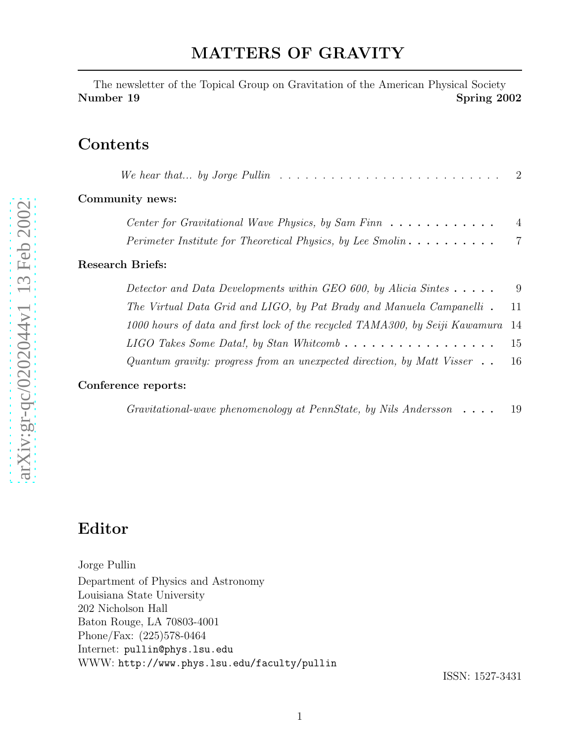The newsletter of the Topical Group on Gravitation of the American Physical Society Number 19 Spring 2002

#### Contents

| We hear that by Jorge Pullin $\ldots \ldots \ldots \ldots \ldots \ldots \ldots \ldots \ldots \ldots \ldots$ |                |
|-------------------------------------------------------------------------------------------------------------|----------------|
| Community news:                                                                                             |                |
| Center for Gravitational Wave Physics, by Sam Finn $\dots \dots \dots \dots$                                | $\overline{4}$ |
| Perimeter Institute for Theoretical Physics, by Lee Smolin $\dots \dots \dots$                              | $\overline{7}$ |
| Research Briefs:                                                                                            |                |
| Detector and Data Developments within GEO 600, by Alicia Sintes $\dots$ .                                   | 9              |
| The Virtual Data Grid and LIGO, by Pat Brady and Manuela Campanelli.                                        | 11             |
| 1000 hours of data and first lock of the recycled TAMA300, by Seiji Kawamura                                | 14             |
| LIGO Takes Some Data!, by Stan Whitcomb $\ldots \ldots \ldots \ldots \ldots \ldots$                         | 15             |
| Quantum gravity: progress from an unexpected direction, by Matt Visser $\dots$                              | 16             |
| Conference reports:                                                                                         |                |
| Gravitational-wave phenomenology at PennState, by Nils Andersson $\dots$ .                                  | 19             |

# Editor

Jorge Pullin

Department of Physics and Astronomy Louisiana State University 202 Nicholson Hall Baton Rouge, LA 70803-4001 Phone/Fax: (225)578-0464 Internet: pullin@phys.lsu.edu WWW: http://www.phys.lsu.edu/faculty/pullin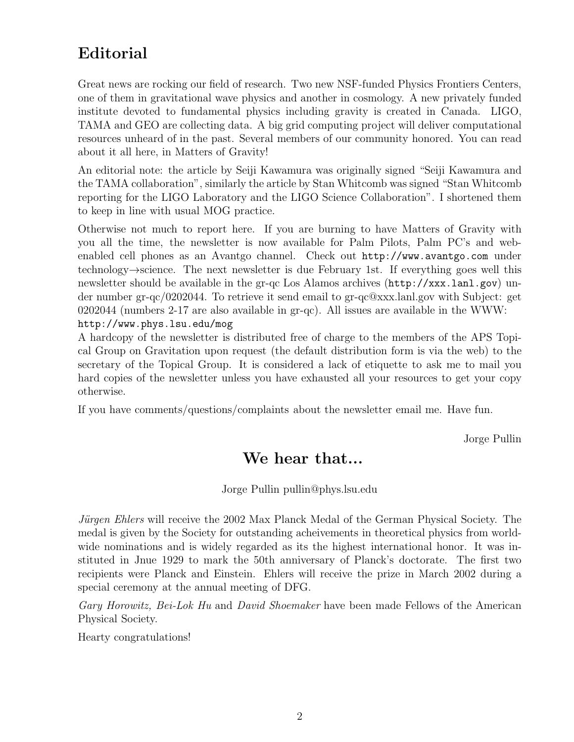# Editorial

Great news are rocking our field of research. Two new NSF-funded Physics Frontiers Centers, one of them in gravitational wave physics and another in cosmology. A new privately funded institute devoted to fundamental physics including gravity is created in Canada. LIGO, TAMA and GEO are collecting data. A big grid computing project will deliver computational resources unheard of in the past. Several members of our community honored. You can read about it all here, in Matters of Gravity!

An editorial note: the article by Seiji Kawamura was originally signed "Seiji Kawamura and the TAMA collaboration", similarly the article by Stan Whitcomb was signed "Stan Whitcomb reporting for the LIGO Laboratory and the LIGO Science Collaboration". I shortened them to keep in line with usual MOG practice.

Otherwise not much to report here. If you are burning to have Matters of Gravity with you all the time, the newsletter is now available for Palm Pilots, Palm PC's and webenabled cell phones as an Avantgo channel. Check out http://www.avantgo.com under technology→science. The next newsletter is due February 1st. If everything goes well this newsletter should be available in the gr-qc Los Alamos archives (http://xxx.lanl.gov) under number gr-qc/0202044. To retrieve it send email to gr-qc@xxx.lanl.gov with Subject: get 0202044 (numbers 2-17 are also available in gr-qc). All issues are available in the WWW: http://www.phys.lsu.edu/mog

A hardcopy of the newsletter is distributed free of charge to the members of the APS Topical Group on Gravitation upon request (the default distribution form is via the web) to the secretary of the Topical Group. It is considered a lack of etiquette to ask me to mail you hard copies of the newsletter unless you have exhausted all your resources to get your copy otherwise.

If you have comments/questions/complaints about the newsletter email me. Have fun.

Jorge Pullin

### We hear that...

Jorge Pullin pullin@phys.lsu.edu

*Jürgen Ehlers* will receive the 2002 Max Planck Medal of the German Physical Society. The medal is given by the Society for outstanding acheivements in theoretical physics from worldwide nominations and is widely regarded as its the highest international honor. It was instituted in Jnue 1929 to mark the 50th anniversary of Planck's doctorate. The first two recipients were Planck and Einstein. Ehlers will receive the prize in March 2002 during a special ceremony at the annual meeting of DFG.

*Gary Horowitz, Bei-Lok Hu* and *David Shoemaker* have been made Fellows of the American Physical Society.

Hearty congratulations!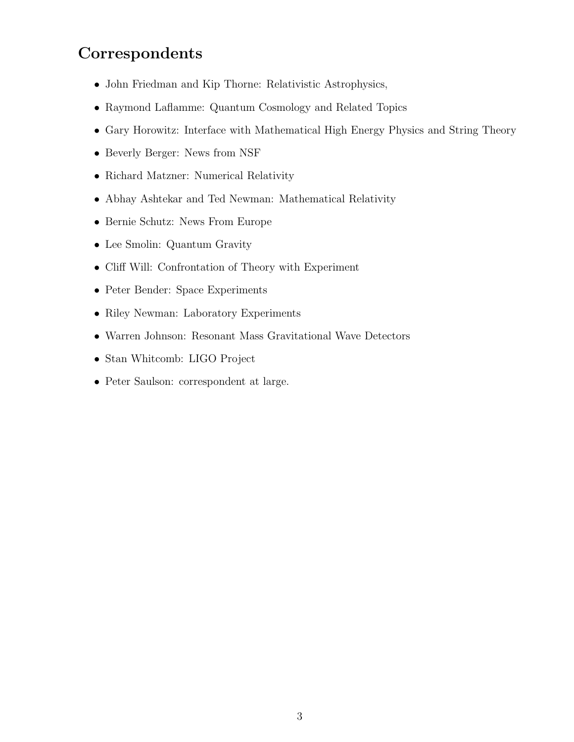## Correspondents

- John Friedman and Kip Thorne: Relativistic Astrophysics,
- Raymond Laflamme: Quantum Cosmology and Related Topics
- Gary Horowitz: Interface with Mathematical High Energy Physics and String Theory
- Beverly Berger: News from NSF
- Richard Matzner: Numerical Relativity
- Abhay Ashtekar and Ted Newman: Mathematical Relativity
- Bernie Schutz: News From Europe
- Lee Smolin: Quantum Gravity
- Cliff Will: Confrontation of Theory with Experiment
- Peter Bender: Space Experiments
- Riley Newman: Laboratory Experiments
- Warren Johnson: Resonant Mass Gravitational Wave Detectors
- Stan Whitcomb: LIGO Project
- Peter Saulson: correspondent at large.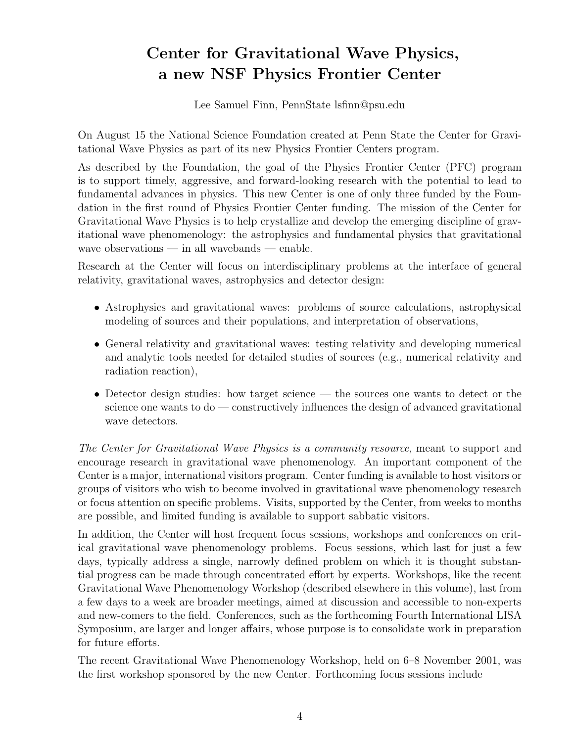# Center for Gravitational Wave Physics, a new NSF Physics Frontier Center

Lee Samuel Finn, PennState lsfinn@psu.edu

On August 15 the National Science Foundation created at Penn State the Center for Gravitational Wave Physics as part of its new Physics Frontier Centers program.

As described by the Foundation, the goal of the Physics Frontier Center (PFC) program is to support timely, aggressive, and forward-looking research with the potential to lead to fundamental advances in physics. This new Center is one of only three funded by the Foundation in the first round of Physics Frontier Center funding. The mission of the Center for Gravitational Wave Physics is to help crystallize and develop the emerging discipline of gravitational wave phenomenology: the astrophysics and fundamental physics that gravitational wave observations — in all wavebands — enable.

Research at the Center will focus on interdisciplinary problems at the interface of general relativity, gravitational waves, astrophysics and detector design:

- Astrophysics and gravitational waves: problems of source calculations, astrophysical modeling of sources and their populations, and interpretation of observations,
- General relativity and gravitational waves: testing relativity and developing numerical and analytic tools needed for detailed studies of sources (e.g., numerical relativity and radiation reaction),
- Detector design studies: how target science the sources one wants to detect or the science one wants to do — constructively influences the design of advanced gravitational wave detectors.

*The Center for Gravitational Wave Physics is a community resource,* meant to support and encourage research in gravitational wave phenomenology. An important component of the Center is a major, international visitors program. Center funding is available to host visitors or groups of visitors who wish to become involved in gravitational wave phenomenology research or focus attention on specific problems. Visits, supported by the Center, from weeks to months are possible, and limited funding is available to support sabbatic visitors.

In addition, the Center will host frequent focus sessions, workshops and conferences on critical gravitational wave phenomenology problems. Focus sessions, which last for just a few days, typically address a single, narrowly defined problem on which it is thought substantial progress can be made through concentrated effort by experts. Workshops, like the recent Gravitational Wave Phenomenology Workshop (described elsewhere in this volume), last from a few days to a week are broader meetings, aimed at discussion and accessible to non-experts and new-comers to the field. Conferences, such as the forthcoming Fourth International LISA Symposium, are larger and longer affairs, whose purpose is to consolidate work in preparation for future efforts.

The recent Gravitational Wave Phenomenology Workshop, held on 6–8 November 2001, was the first workshop sponsored by the new Center. Forthcoming focus sessions include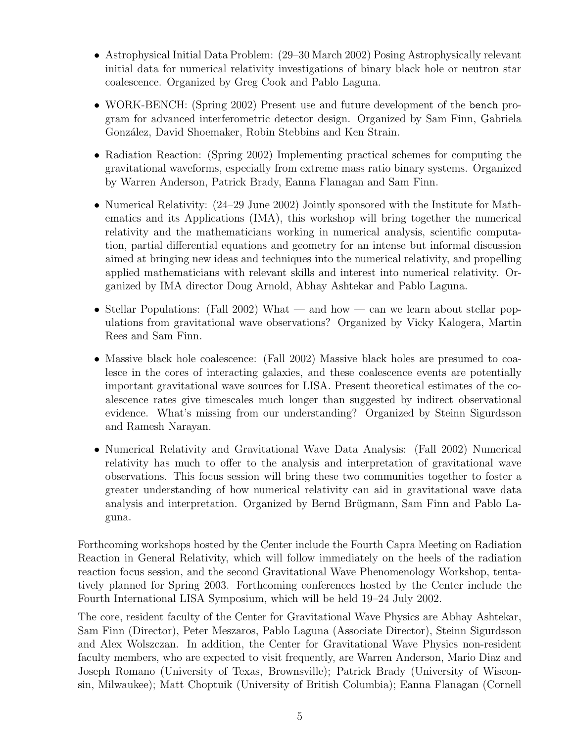- Astrophysical Initial Data Problem: (29–30 March 2002) Posing Astrophysically relevant initial data for numerical relativity investigations of binary black hole or neutron star coalescence. Organized by Greg Cook and Pablo Laguna.
- WORK-BENCH: (Spring 2002) Present use and future development of the bench program for advanced interferometric detector design. Organized by Sam Finn, Gabriela González, David Shoemaker, Robin Stebbins and Ken Strain.
- Radiation Reaction: (Spring 2002) Implementing practical schemes for computing the gravitational waveforms, especially from extreme mass ratio binary systems. Organized by Warren Anderson, Patrick Brady, Eanna Flanagan and Sam Finn.
- Numerical Relativity:  $(24-29 \text{ June } 2002)$  Jointly sponsored with the Institute for Mathematics and its Applications (IMA), this workshop will bring together the numerical relativity and the mathematicians working in numerical analysis, scientific computation, partial differential equations and geometry for an intense but informal discussion aimed at bringing new ideas and techniques into the numerical relativity, and propelling applied mathematicians with relevant skills and interest into numerical relativity. Organized by IMA director Doug Arnold, Abhay Ashtekar and Pablo Laguna.
- Stellar Populations: (Fall 2002) What and how can we learn about stellar populations from gravitational wave observations? Organized by Vicky Kalogera, Martin Rees and Sam Finn.
- Massive black hole coalescence: (Fall 2002) Massive black holes are presumed to coalesce in the cores of interacting galaxies, and these coalescence events are potentially important gravitational wave sources for LISA. Present theoretical estimates of the coalescence rates give timescales much longer than suggested by indirect observational evidence. What's missing from our understanding? Organized by Steinn Sigurdsson and Ramesh Narayan.
- Numerical Relativity and Gravitational Wave Data Analysis: (Fall 2002) Numerical relativity has much to offer to the analysis and interpretation of gravitational wave observations. This focus session will bring these two communities together to foster a greater understanding of how numerical relativity can aid in gravitational wave data analysis and interpretation. Organized by Bernd Brügmann, Sam Finn and Pablo Laguna.

Forthcoming workshops hosted by the Center include the Fourth Capra Meeting on Radiation Reaction in General Relativity, which will follow immediately on the heels of the radiation reaction focus session, and the second Gravitational Wave Phenomenology Workshop, tentatively planned for Spring 2003. Forthcoming conferences hosted by the Center include the Fourth International LISA Symposium, which will be held 19–24 July 2002.

The core, resident faculty of the Center for Gravitational Wave Physics are Abhay Ashtekar, Sam Finn (Director), Peter Meszaros, Pablo Laguna (Associate Director), Steinn Sigurdsson and Alex Wolszczan. In addition, the Center for Gravitational Wave Physics non-resident faculty members, who are expected to visit frequently, are Warren Anderson, Mario Diaz and Joseph Romano (University of Texas, Brownsville); Patrick Brady (University of Wisconsin, Milwaukee); Matt Choptuik (University of British Columbia); Eanna Flanagan (Cornell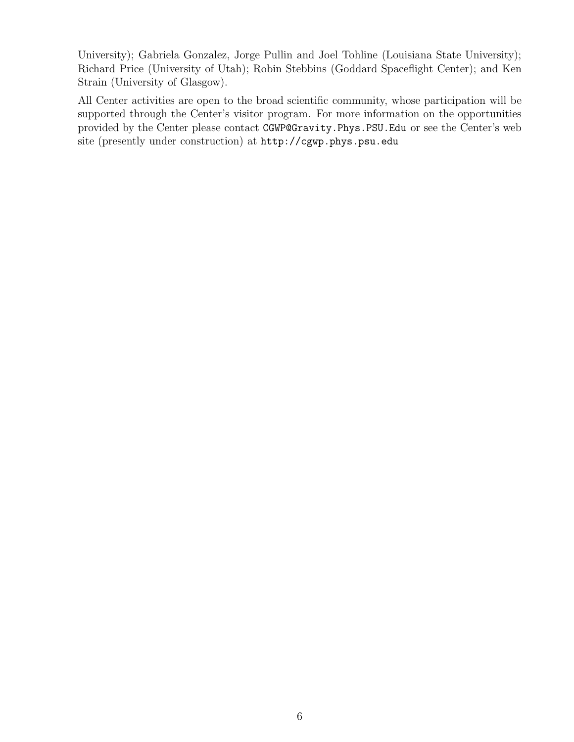University); Gabriela Gonzalez, Jorge Pullin and Joel Tohline (Louisiana State University); Richard Price (University of Utah); Robin Stebbins (Goddard Spaceflight Center); and Ken Strain (University of Glasgow).

All Center activities are open to the broad scientific community, whose participation will be supported through the Center's visitor program. For more information on the opportunities provided by the Center please contact CGWP@Gravity.Phys.PSU.Edu or see the Center's web site (presently under construction) at http://cgwp.phys.psu.edu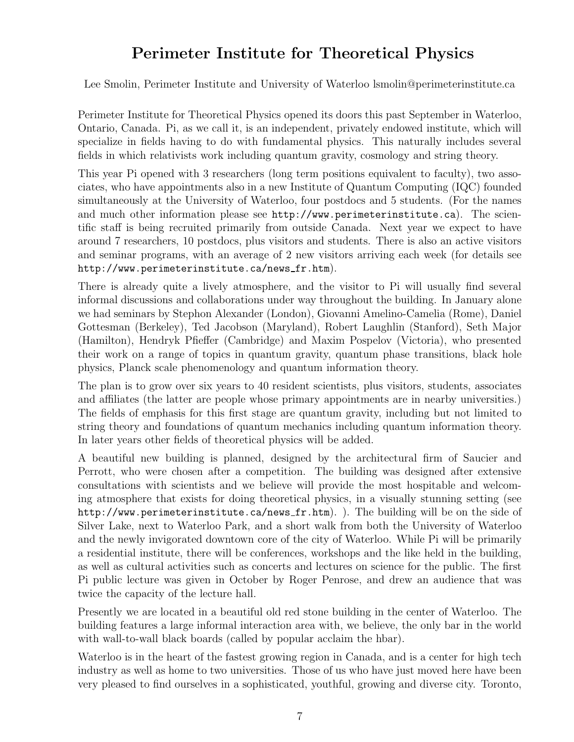## Perimeter Institute for Theoretical Physics

Lee Smolin, Perimeter Institute and University of Waterloo lsmolin@perimeterinstitute.ca

Perimeter Institute for Theoretical Physics opened its doors this past September in Waterloo, Ontario, Canada. Pi, as we call it, is an independent, privately endowed institute, which will specialize in fields having to do with fundamental physics. This naturally includes several fields in which relativists work including quantum gravity, cosmology and string theory.

This year Pi opened with 3 researchers (long term positions equivalent to faculty), two associates, who have appointments also in a new Institute of Quantum Computing (IQC) founded simultaneously at the University of Waterloo, four postdocs and 5 students. (For the names and much other information please see http://www.perimeterinstitute.ca). The scientific staff is being recruited primarily from outside Canada. Next year we expect to have around 7 researchers, 10 postdocs, plus visitors and students. There is also an active visitors and seminar programs, with an average of 2 new visitors arriving each week (for details see http://www.perimeterinstitute.ca/news\_fr.htm).

There is already quite a lively atmosphere, and the visitor to Pi will usually find several informal discussions and collaborations under way throughout the building. In January alone we had seminars by Stephon Alexander (London), Giovanni Amelino-Camelia (Rome), Daniel Gottesman (Berkeley), Ted Jacobson (Maryland), Robert Laughlin (Stanford), Seth Major (Hamilton), Hendryk Pfieffer (Cambridge) and Maxim Pospelov (Victoria), who presented their work on a range of topics in quantum gravity, quantum phase transitions, black hole physics, Planck scale phenomenology and quantum information theory.

The plan is to grow over six years to 40 resident scientists, plus visitors, students, associates and affiliates (the latter are people whose primary appointments are in nearby universities.) The fields of emphasis for this first stage are quantum gravity, including but not limited to string theory and foundations of quantum mechanics including quantum information theory. In later years other fields of theoretical physics will be added.

A beautiful new building is planned, designed by the architectural firm of Saucier and Perrott, who were chosen after a competition. The building was designed after extensive consultations with scientists and we believe will provide the most hospitable and welcoming atmosphere that exists for doing theoretical physics, in a visually stunning setting (see http://www.perimeterinstitute.ca/news fr.htm). ). The building will be on the side of Silver Lake, next to Waterloo Park, and a short walk from both the University of Waterloo and the newly invigorated downtown core of the city of Waterloo. While Pi will be primarily a residential institute, there will be conferences, workshops and the like held in the building, as well as cultural activities such as concerts and lectures on science for the public. The first Pi public lecture was given in October by Roger Penrose, and drew an audience that was twice the capacity of the lecture hall.

Presently we are located in a beautiful old red stone building in the center of Waterloo. The building features a large informal interaction area with, we believe, the only bar in the world with wall-to-wall black boards (called by popular acclaim the hbar).

Waterloo is in the heart of the fastest growing region in Canada, and is a center for high tech industry as well as home to two universities. Those of us who have just moved here have been very pleased to find ourselves in a sophisticated, youthful, growing and diverse city. Toronto,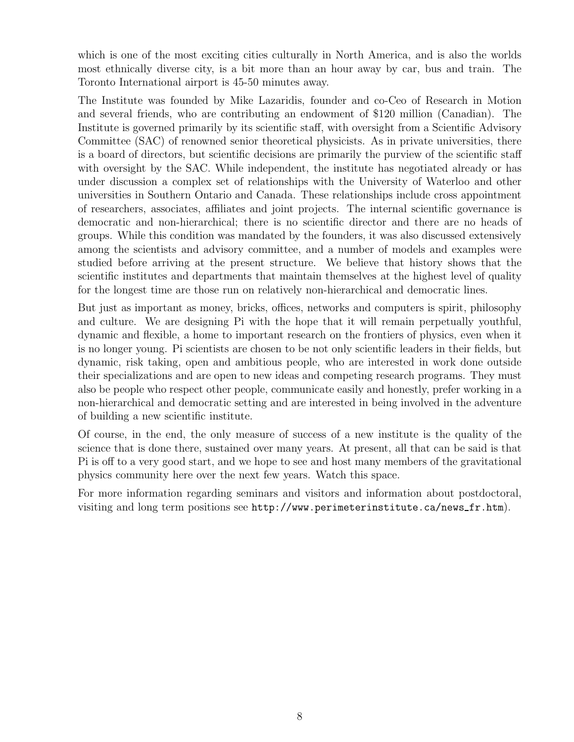which is one of the most exciting cities culturally in North America, and is also the worlds most ethnically diverse city, is a bit more than an hour away by car, bus and train. The Toronto International airport is 45-50 minutes away.

The Institute was founded by Mike Lazaridis, founder and co-Ceo of Research in Motion and several friends, who are contributing an endowment of \$120 million (Canadian). The Institute is governed primarily by its scientific staff, with oversight from a Scientific Advisory Committee (SAC) of renowned senior theoretical physicists. As in private universities, there is a board of directors, but scientific decisions are primarily the purview of the scientific staff with oversight by the SAC. While independent, the institute has negotiated already or has under discussion a complex set of relationships with the University of Waterloo and other universities in Southern Ontario and Canada. These relationships include cross appointment of researchers, associates, affiliates and joint projects. The internal scientific governance is democratic and non-hierarchical; there is no scientific director and there are no heads of groups. While this condition was mandated by the founders, it was also discussed extensively among the scientists and advisory committee, and a number of models and examples were studied before arriving at the present structure. We believe that history shows that the scientific institutes and departments that maintain themselves at the highest level of quality for the longest time are those run on relatively non-hierarchical and democratic lines.

But just as important as money, bricks, offices, networks and computers is spirit, philosophy and culture. We are designing Pi with the hope that it will remain perpetually youthful, dynamic and flexible, a home to important research on the frontiers of physics, even when it is no longer young. Pi scientists are chosen to be not only scientific leaders in their fields, but dynamic, risk taking, open and ambitious people, who are interested in work done outside their specializations and are open to new ideas and competing research programs. They must also be people who respect other people, communicate easily and honestly, prefer working in a non-hierarchical and democratic setting and are interested in being involved in the adventure of building a new scientific institute.

Of course, in the end, the only measure of success of a new institute is the quality of the science that is done there, sustained over many years. At present, all that can be said is that Pi is off to a very good start, and we hope to see and host many members of the gravitational physics community here over the next few years. Watch this space.

For more information regarding seminars and visitors and information about postdoctoral, visiting and long term positions see http://www.perimeterinstitute.ca/news fr.htm).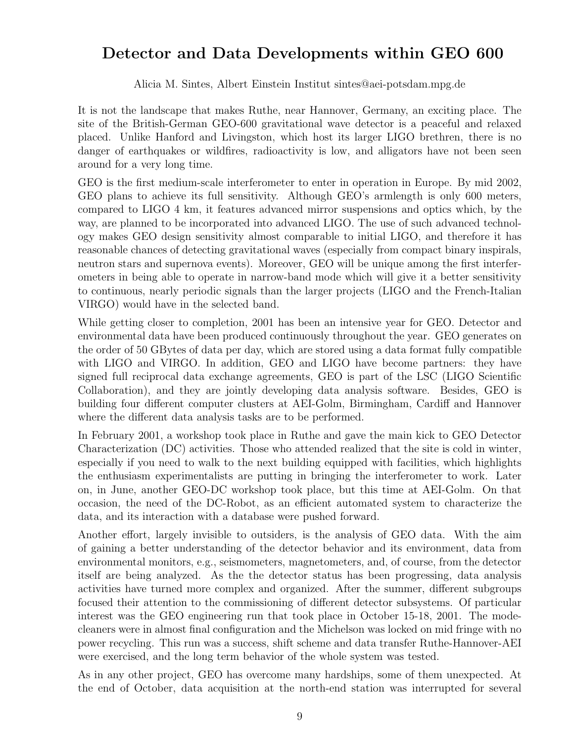### Detector and Data Developments within GEO 600

Alicia M. Sintes, Albert Einstein Institut sintes@aei-potsdam.mpg.de

It is not the landscape that makes Ruthe, near Hannover, Germany, an exciting place. The site of the British-German GEO-600 gravitational wave detector is a peaceful and relaxed placed. Unlike Hanford and Livingston, which host its larger LIGO brethren, there is no danger of earthquakes or wildfires, radioactivity is low, and alligators have not been seen around for a very long time.

GEO is the first medium-scale interferometer to enter in operation in Europe. By mid 2002, GEO plans to achieve its full sensitivity. Although GEO's armlength is only 600 meters, compared to LIGO 4 km, it features advanced mirror suspensions and optics which, by the way, are planned to be incorporated into advanced LIGO. The use of such advanced technology makes GEO design sensitivity almost comparable to initial LIGO, and therefore it has reasonable chances of detecting gravitational waves (especially from compact binary inspirals, neutron stars and supernova events). Moreover, GEO will be unique among the first interferometers in being able to operate in narrow-band mode which will give it a better sensitivity to continuous, nearly periodic signals than the larger projects (LIGO and the French-Italian VIRGO) would have in the selected band.

While getting closer to completion, 2001 has been an intensive year for GEO. Detector and environmental data have been produced continuously throughout the year. GEO generates on the order of 50 GBytes of data per day, which are stored using a data format fully compatible with LIGO and VIRGO. In addition, GEO and LIGO have become partners: they have signed full reciprocal data exchange agreements, GEO is part of the LSC (LIGO Scientific Collaboration), and they are jointly developing data analysis software. Besides, GEO is building four different computer clusters at AEI-Golm, Birmingham, Cardiff and Hannover where the different data analysis tasks are to be performed.

In February 2001, a workshop took place in Ruthe and gave the main kick to GEO Detector Characterization (DC) activities. Those who attended realized that the site is cold in winter, especially if you need to walk to the next building equipped with facilities, which highlights the enthusiasm experimentalists are putting in bringing the interferometer to work. Later on, in June, another GEO-DC workshop took place, but this time at AEI-Golm. On that occasion, the need of the DC-Robot, as an efficient automated system to characterize the data, and its interaction with a database were pushed forward.

Another effort, largely invisible to outsiders, is the analysis of GEO data. With the aim of gaining a better understanding of the detector behavior and its environment, data from environmental monitors, e.g., seismometers, magnetometers, and, of course, from the detector itself are being analyzed. As the the detector status has been progressing, data analysis activities have turned more complex and organized. After the summer, different subgroups focused their attention to the commissioning of different detector subsystems. Of particular interest was the GEO engineering run that took place in October 15-18, 2001. The modecleaners were in almost final configuration and the Michelson was locked on mid fringe with no power recycling. This run was a success, shift scheme and data transfer Ruthe-Hannover-AEI were exercised, and the long term behavior of the whole system was tested.

As in any other project, GEO has overcome many hardships, some of them unexpected. At the end of October, data acquisition at the north-end station was interrupted for several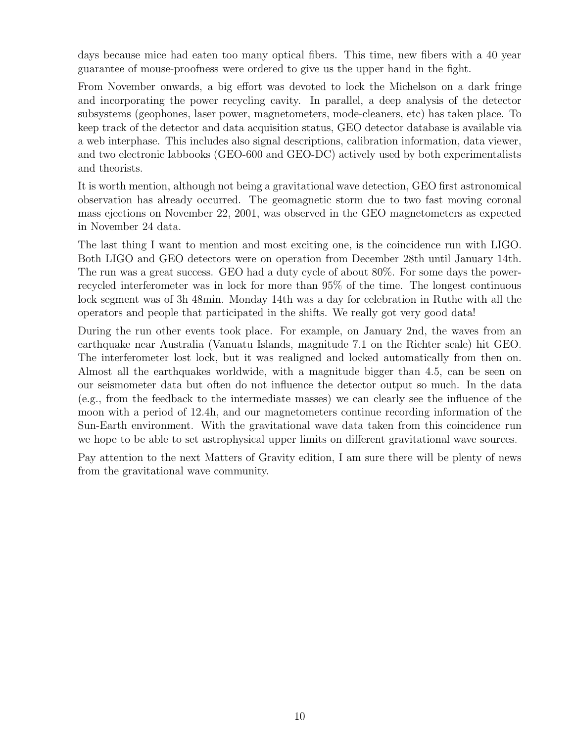days because mice had eaten too many optical fibers. This time, new fibers with a 40 year guarantee of mouse-proofness were ordered to give us the upper hand in the fight.

From November onwards, a big effort was devoted to lock the Michelson on a dark fringe and incorporating the power recycling cavity. In parallel, a deep analysis of the detector subsystems (geophones, laser power, magnetometers, mode-cleaners, etc) has taken place. To keep track of the detector and data acquisition status, GEO detector database is available via a web interphase. This includes also signal descriptions, calibration information, data viewer, and two electronic labbooks (GEO-600 and GEO-DC) actively used by both experimentalists and theorists.

It is worth mention, although not being a gravitational wave detection, GEO first astronomical observation has already occurred. The geomagnetic storm due to two fast moving coronal mass ejections on November 22, 2001, was observed in the GEO magnetometers as expected in November 24 data.

The last thing I want to mention and most exciting one, is the coincidence run with LIGO. Both LIGO and GEO detectors were on operation from December 28th until January 14th. The run was a great success. GEO had a duty cycle of about 80%. For some days the powerrecycled interferometer was in lock for more than 95% of the time. The longest continuous lock segment was of 3h 48min. Monday 14th was a day for celebration in Ruthe with all the operators and people that participated in the shifts. We really got very good data!

During the run other events took place. For example, on January 2nd, the waves from an earthquake near Australia (Vanuatu Islands, magnitude 7.1 on the Richter scale) hit GEO. The interferometer lost lock, but it was realigned and locked automatically from then on. Almost all the earthquakes worldwide, with a magnitude bigger than 4.5, can be seen on our seismometer data but often do not influence the detector output so much. In the data (e.g., from the feedback to the intermediate masses) we can clearly see the influence of the moon with a period of 12.4h, and our magnetometers continue recording information of the Sun-Earth environment. With the gravitational wave data taken from this coincidence run we hope to be able to set astrophysical upper limits on different gravitational wave sources.

Pay attention to the next Matters of Gravity edition, I am sure there will be plenty of news from the gravitational wave community.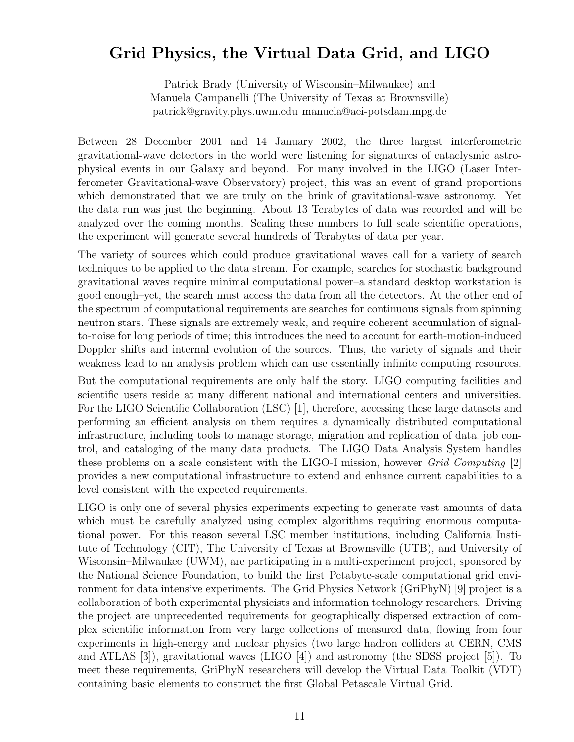### Grid Physics, the Virtual Data Grid, and LIGO

Patrick Brady (University of Wisconsin–Milwaukee) and Manuela Campanelli (The University of Texas at Brownsville) patrick@gravity.phys.uwm.edu manuela@aei-potsdam.mpg.de

Between 28 December 2001 and 14 January 2002, the three largest interferometric gravitational-wave detectors in the world were listening for signatures of cataclysmic astrophysical events in our Galaxy and beyond. For many involved in the LIGO (Laser Interferometer Gravitational-wave Observatory) project, this was an event of grand proportions which demonstrated that we are truly on the brink of gravitational-wave astronomy. Yet the data run was just the beginning. About 13 Terabytes of data was recorded and will be analyzed over the coming months. Scaling these numbers to full scale scientific operations, the experiment will generate several hundreds of Terabytes of data per year.

The variety of sources which could produce gravitational waves call for a variety of search techniques to be applied to the data stream. For example, searches for stochastic background gravitational waves require minimal computational power–a standard desktop workstation is good enough–yet, the search must access the data from all the detectors. At the other end of the spectrum of computational requirements are searches for continuous signals from spinning neutron stars. These signals are extremely weak, and require coherent accumulation of signalto-noise for long periods of time; this introduces the need to account for earth-motion-induced Doppler shifts and internal evolution of the sources. Thus, the variety of signals and their weakness lead to an analysis problem which can use essentially infinite computing resources.

But the computational requirements are only half the story. LIGO computing facilities and scientific users reside at many different national and international centers and universities. For the LIGO Scientific Collaboration (LSC) [1], therefore, accessing these large datasets and performing an efficient analysis on them requires a dynamically distributed computational infrastructure, including tools to manage storage, migration and replication of data, job control, and cataloging of the many data products. The LIGO Data Analysis System handles these problems on a scale consistent with the LIGO-I mission, however *Grid Computing* [2] provides a new computational infrastructure to extend and enhance current capabilities to a level consistent with the expected requirements.

LIGO is only one of several physics experiments expecting to generate vast amounts of data which must be carefully analyzed using complex algorithms requiring enormous computational power. For this reason several LSC member institutions, including California Institute of Technology (CIT), The University of Texas at Brownsville (UTB), and University of Wisconsin–Milwaukee (UWM), are participating in a multi-experiment project, sponsored by the National Science Foundation, to build the first Petabyte-scale computational grid environment for data intensive experiments. The Grid Physics Network (GriPhyN) [9] project is a collaboration of both experimental physicists and information technology researchers. Driving the project are unprecedented requirements for geographically dispersed extraction of complex scientific information from very large collections of measured data, flowing from four experiments in high-energy and nuclear physics (two large hadron colliders at CERN, CMS and ATLAS [3]), gravitational waves (LIGO [4]) and astronomy (the SDSS project [5]). To meet these requirements, GriPhyN researchers will develop the Virtual Data Toolkit (VDT) containing basic elements to construct the first Global Petascale Virtual Grid.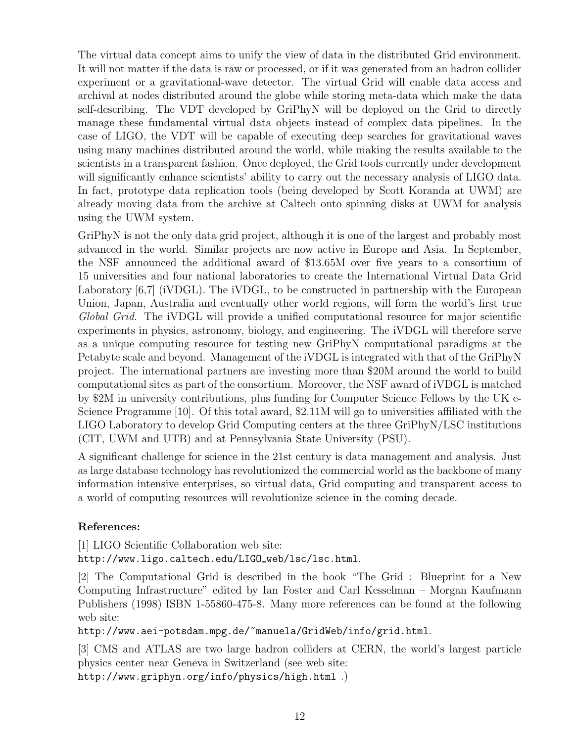The virtual data concept aims to unify the view of data in the distributed Grid environment. It will not matter if the data is raw or processed, or if it was generated from an hadron collider experiment or a gravitational-wave detector. The virtual Grid will enable data access and archival at nodes distributed around the globe while storing meta-data which make the data self-describing. The VDT developed by GriPhyN will be deployed on the Grid to directly manage these fundamental virtual data objects instead of complex data pipelines. In the case of LIGO, the VDT will be capable of executing deep searches for gravitational waves using many machines distributed around the world, while making the results available to the scientists in a transparent fashion. Once deployed, the Grid tools currently under development will significantly enhance scientists' ability to carry out the necessary analysis of LIGO data. In fact, prototype data replication tools (being developed by Scott Koranda at UWM) are already moving data from the archive at Caltech onto spinning disks at UWM for analysis using the UWM system.

GriPhyN is not the only data grid project, although it is one of the largest and probably most advanced in the world. Similar projects are now active in Europe and Asia. In September, the NSF announced the additional award of \$13.65M over five years to a consortium of 15 universities and four national laboratories to create the International Virtual Data Grid Laboratory [6,7] (iVDGL). The iVDGL, to be constructed in partnership with the European Union, Japan, Australia and eventually other world regions, will form the world's first true *Global Grid*. The iVDGL will provide a unified computational resource for major scientific experiments in physics, astronomy, biology, and engineering. The iVDGL will therefore serve as a unique computing resource for testing new GriPhyN computational paradigms at the Petabyte scale and beyond. Management of the iVDGL is integrated with that of the GriPhyN project. The international partners are investing more than \$20M around the world to build computational sites as part of the consortium. Moreover, the NSF award of iVDGL is matched by \$2M in university contributions, plus funding for Computer Science Fellows by the UK e-Science Programme [10]. Of this total award, \$2.11M will go to universities affiliated with the LIGO Laboratory to develop Grid Computing centers at the three GriPhyN/LSC institutions (CIT, UWM and UTB) and at Pennsylvania State University (PSU).

A significant challenge for science in the 21st century is data management and analysis. Just as large database technology has revolutionized the commercial world as the backbone of many information intensive enterprises, so virtual data, Grid computing and transparent access to a world of computing resources will revolutionize science in the coming decade.

#### References:

[1] LIGO Scientific Collaboration web site:

http://www.ligo.caltech.edu/LIGO\_web/lsc/lsc.html.

[2] The Computational Grid is described in the book "The Grid : Blueprint for a New Computing Infrastructure" edited by Ian Foster and Carl Kesselman – Morgan Kaufmann Publishers (1998) ISBN 1-55860-475-8. Many more references can be found at the following web site:

http://www.aei-potsdam.mpg.de/~manuela/GridWeb/info/grid.html.

[3] CMS and ATLAS are two large hadron colliders at CERN, the world's largest particle physics center near Geneva in Switzerland (see web site:

http://www.griphyn.org/info/physics/high.html .)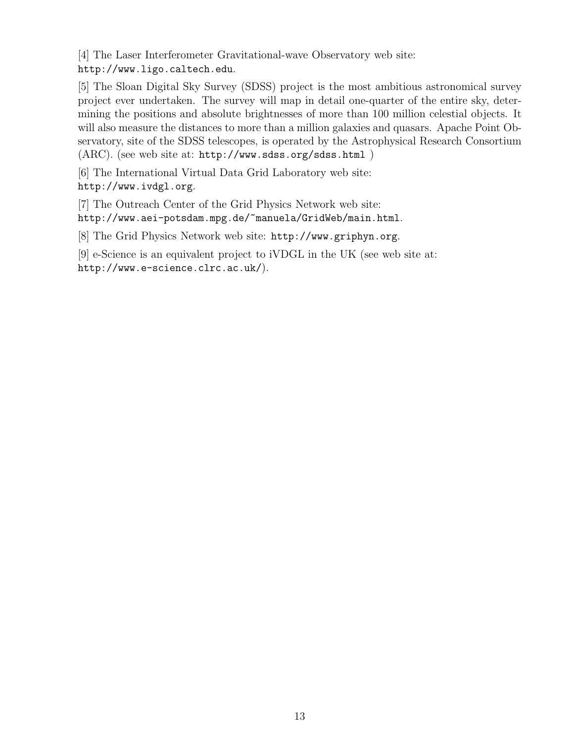[4] The Laser Interferometer Gravitational-wave Observatory web site: http://www.ligo.caltech.edu.

[5] The Sloan Digital Sky Survey (SDSS) project is the most ambitious astronomical survey project ever undertaken. The survey will map in detail one-quarter of the entire sky, determining the positions and absolute brightnesses of more than 100 million celestial objects. It will also measure the distances to more than a million galaxies and quasars. Apache Point Observatory, site of the SDSS telescopes, is operated by the Astrophysical Research Consortium (ARC). (see web site at: http://www.sdss.org/sdss.html )

[6] The International Virtual Data Grid Laboratory web site: http://www.ivdgl.org.

[7] The Outreach Center of the Grid Physics Network web site: http://www.aei-potsdam.mpg.de/~manuela/GridWeb/main.html.

[8] The Grid Physics Network web site: http://www.griphyn.org.

[9] e-Science is an equivalent project to iVDGL in the UK (see web site at: http://www.e-science.clrc.ac.uk/).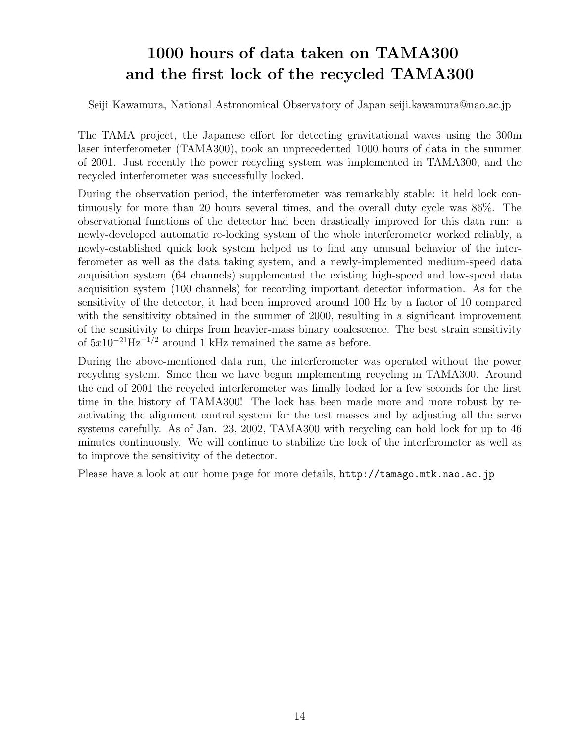# 1000 hours of data taken on TAMA300 and the first lock of the recycled TAMA300

Seiji Kawamura, National Astronomical Observatory of Japan seiji.kawamura@nao.ac.jp

The TAMA project, the Japanese effort for detecting gravitational waves using the 300m laser interferometer (TAMA300), took an unprecedented 1000 hours of data in the summer of 2001. Just recently the power recycling system was implemented in TAMA300, and the recycled interferometer was successfully locked.

During the observation period, the interferometer was remarkably stable: it held lock continuously for more than 20 hours several times, and the overall duty cycle was 86%. The observational functions of the detector had been drastically improved for this data run: a newly-developed automatic re-locking system of the whole interferometer worked reliably, a newly-established quick look system helped us to find any unusual behavior of the interferometer as well as the data taking system, and a newly-implemented medium-speed data acquisition system (64 channels) supplemented the existing high-speed and low-speed data acquisition system (100 channels) for recording important detector information. As for the sensitivity of the detector, it had been improved around 100 Hz by a factor of 10 compared with the sensitivity obtained in the summer of 2000, resulting in a significant improvement of the sensitivity to chirps from heavier-mass binary coalescence. The best strain sensitivity of  $5x10^{-21}$ Hz<sup>-1/2</sup> around 1 kHz remained the same as before.

During the above-mentioned data run, the interferometer was operated without the power recycling system. Since then we have begun implementing recycling in TAMA300. Around the end of 2001 the recycled interferometer was finally locked for a few seconds for the first time in the history of TAMA300! The lock has been made more and more robust by reactivating the alignment control system for the test masses and by adjusting all the servo systems carefully. As of Jan. 23, 2002, TAMA300 with recycling can hold lock for up to 46 minutes continuously. We will continue to stabilize the lock of the interferometer as well as to improve the sensitivity of the detector.

Please have a look at our home page for more details, http://tamago.mtk.nao.ac.jp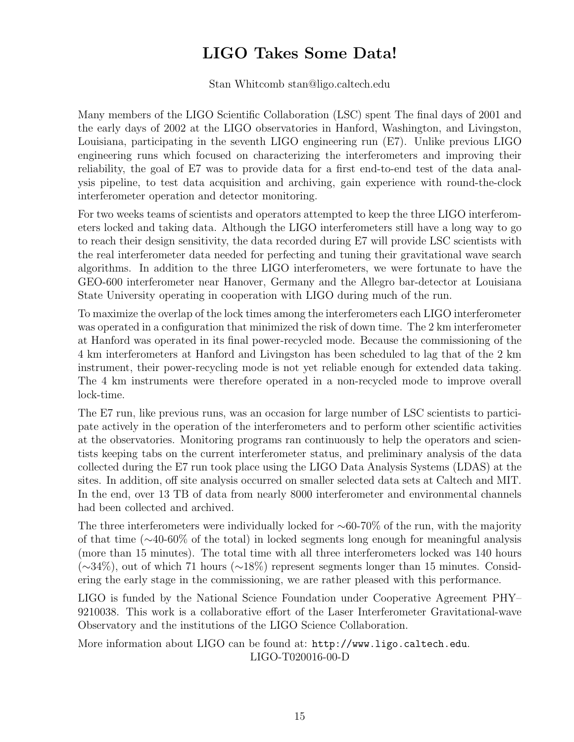# LIGO Takes Some Data!

Stan Whitcomb stan@ligo.caltech.edu

Many members of the LIGO Scientific Collaboration (LSC) spent The final days of 2001 and the early days of 2002 at the LIGO observatories in Hanford, Washington, and Livingston, Louisiana, participating in the seventh LIGO engineering run (E7). Unlike previous LIGO engineering runs which focused on characterizing the interferometers and improving their reliability, the goal of E7 was to provide data for a first end-to-end test of the data analysis pipeline, to test data acquisition and archiving, gain experience with round-the-clock interferometer operation and detector monitoring.

For two weeks teams of scientists and operators attempted to keep the three LIGO interferometers locked and taking data. Although the LIGO interferometers still have a long way to go to reach their design sensitivity, the data recorded during E7 will provide LSC scientists with the real interferometer data needed for perfecting and tuning their gravitational wave search algorithms. In addition to the three LIGO interferometers, we were fortunate to have the GEO-600 interferometer near Hanover, Germany and the Allegro bar-detector at Louisiana State University operating in cooperation with LIGO during much of the run.

To maximize the overlap of the lock times among the interferometers each LIGO interferometer was operated in a configuration that minimized the risk of down time. The 2 km interferometer at Hanford was operated in its final power-recycled mode. Because the commissioning of the 4 km interferometers at Hanford and Livingston has been scheduled to lag that of the 2 km instrument, their power-recycling mode is not yet reliable enough for extended data taking. The 4 km instruments were therefore operated in a non-recycled mode to improve overall lock-time.

The E7 run, like previous runs, was an occasion for large number of LSC scientists to participate actively in the operation of the interferometers and to perform other scientific activities at the observatories. Monitoring programs ran continuously to help the operators and scientists keeping tabs on the current interferometer status, and preliminary analysis of the data collected during the E7 run took place using the LIGO Data Analysis Systems (LDAS) at the sites. In addition, off site analysis occurred on smaller selected data sets at Caltech and MIT. In the end, over 13 TB of data from nearly 8000 interferometer and environmental channels had been collected and archived.

The three interferometers were individually locked for  $\sim 60-70\%$  of the run, with the majority of that time (∼40-60% of the total) in locked segments long enough for meaningful analysis (more than 15 minutes). The total time with all three interferometers locked was 140 hours  $(\sim 34\%)$ , out of which 71 hours ( $\sim 18\%$ ) represent segments longer than 15 minutes. Considering the early stage in the commissioning, we are rather pleased with this performance.

LIGO is funded by the National Science Foundation under Cooperative Agreement PHY– 9210038. This work is a collaborative effort of the Laser Interferometer Gravitational-wave Observatory and the institutions of the LIGO Science Collaboration.

More information about LIGO can be found at: http://www.ligo.caltech.edu. LIGO-T020016-00-D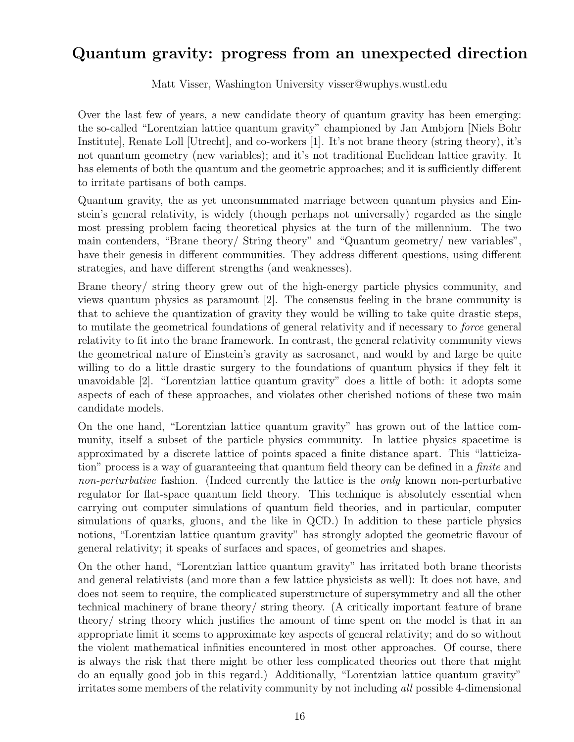#### Quantum gravity: progress from an unexpected direction

Matt Visser, Washington University visser@wuphys.wustl.edu

Over the last few of years, a new candidate theory of quantum gravity has been emerging: the so-called "Lorentzian lattice quantum gravity" championed by Jan Ambjorn [Niels Bohr Institute], Renate Loll [Utrecht], and co-workers [1]. It's not brane theory (string theory), it's not quantum geometry (new variables); and it's not traditional Euclidean lattice gravity. It has elements of both the quantum and the geometric approaches; and it is sufficiently different to irritate partisans of both camps.

Quantum gravity, the as yet unconsummated marriage between quantum physics and Einstein's general relativity, is widely (though perhaps not universally) regarded as the single most pressing problem facing theoretical physics at the turn of the millennium. The two main contenders, "Brane theory/ String theory" and "Quantum geometry/ new variables", have their genesis in different communities. They address different questions, using different strategies, and have different strengths (and weaknesses).

Brane theory/ string theory grew out of the high-energy particle physics community, and views quantum physics as paramount [2]. The consensus feeling in the brane community is that to achieve the quantization of gravity they would be willing to take quite drastic steps, to mutilate the geometrical foundations of general relativity and if necessary to *force* general relativity to fit into the brane framework. In contrast, the general relativity community views the geometrical nature of Einstein's gravity as sacrosanct, and would by and large be quite willing to do a little drastic surgery to the foundations of quantum physics if they felt it unavoidable [2]. "Lorentzian lattice quantum gravity" does a little of both: it adopts some aspects of each of these approaches, and violates other cherished notions of these two main candidate models.

On the one hand, "Lorentzian lattice quantum gravity" has grown out of the lattice community, itself a subset of the particle physics community. In lattice physics spacetime is approximated by a discrete lattice of points spaced a finite distance apart. This "latticization" process is a way of guaranteeing that quantum field theory can be defined in a *finite* and *non-perturbative* fashion. (Indeed currently the lattice is the *only* known non-perturbative regulator for flat-space quantum field theory. This technique is absolutely essential when carrying out computer simulations of quantum field theories, and in particular, computer simulations of quarks, gluons, and the like in QCD.) In addition to these particle physics notions, "Lorentzian lattice quantum gravity" has strongly adopted the geometric flavour of general relativity; it speaks of surfaces and spaces, of geometries and shapes.

On the other hand, "Lorentzian lattice quantum gravity" has irritated both brane theorists and general relativists (and more than a few lattice physicists as well): It does not have, and does not seem to require, the complicated superstructure of supersymmetry and all the other technical machinery of brane theory/ string theory. (A critically important feature of brane theory/ string theory which justifies the amount of time spent on the model is that in an appropriate limit it seems to approximate key aspects of general relativity; and do so without the violent mathematical infinities encountered in most other approaches. Of course, there is always the risk that there might be other less complicated theories out there that might do an equally good job in this regard.) Additionally, "Lorentzian lattice quantum gravity" irritates some members of the relativity community by not including *all* possible 4-dimensional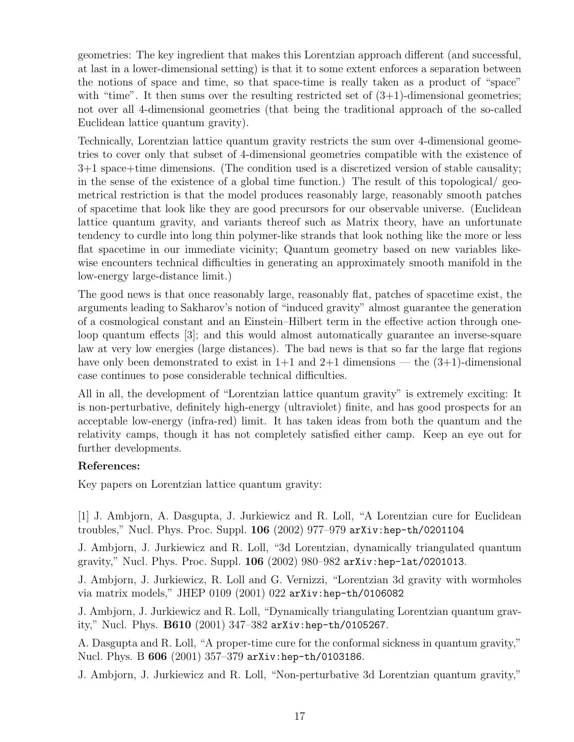geometries: The key ingredient that makes this Lorentzian approach different (and successful, at last in a lower-dimensional setting) is that it to some extent enforces a separation between the notions of space and time, so that space-time is really taken as a product of "space" with "time". It then sums over the resulting restricted set of  $(3+1)$ -dimensional geometries; not over all 4-dimensional geometries (that being the traditional approach of the so-called Euclidean lattice quantum gravity).

Technically, Lorentzian lattice quantum gravity restricts the sum over 4-dimensional geometries to cover only that subset of 4-dimensional geometries compatible with the existence of 3+1 space+time dimensions. (The condition used is a discretized version of stable causality; in the sense of the existence of a global time function.) The result of this topological/ geometrical restriction is that the model produces reasonably large, reasonably smooth patches of spacetime that look like they are good precursors for our observable universe. (Euclidean lattice quantum gravity, and variants thereof such as Matrix theory, have an unfortunate tendency to curdle into long thin polymer-like strands that look nothing like the more or less flat spacetime in our immediate vicinity; Quantum geometry based on new variables likewise encounters technical difficulties in generating an approximately smooth manifold in the low-energy large-distance limit.)

The good news is that once reasonably large, reasonably flat, patches of spacetime exist, the arguments leading to Sakharov's notion of "induced gravity" almost guarantee the generation of a cosmological constant and an Einstein–Hilbert term in the effective action through oneloop quantum effects [3]; and this would almost automatically guarantee an inverse-square law at very low energies (large distances). The bad news is that so far the large flat regions have only been demonstrated to exist in  $1+1$  and  $2+1$  dimensions — the  $(3+1)$ -dimensional case continues to pose considerable technical difficulties.

All in all, the development of "Lorentzian lattice quantum gravity" is extremely exciting: It is non-perturbative, definitely high-energy (ultraviolet) finite, and has good prospects for an acceptable low-energy (infra-red) limit. It has taken ideas from both the quantum and the relativity camps, though it has not completely satisfied either camp. Keep an eye out for further developments.

#### References:

Key papers on Lorentzian lattice quantum gravity:

[1] J. Ambjorn, A. Dasgupta, J. Jurkiewicz and R. Loll, "A Lorentzian cure for Euclidean troubles," Nucl. Phys. Proc. Suppl. 106 (2002) 977–979 arXiv:hep-th/0201104

J. Ambjorn, J. Jurkiewicz and R. Loll, "3d Lorentzian, dynamically triangulated quantum gravity," Nucl. Phys. Proc. Suppl. 106 (2002) 980–982 arXiv:hep-lat/0201013.

J. Ambjorn, J. Jurkiewicz, R. Loll and G. Vernizzi, "Lorentzian 3d gravity with wormholes via matrix models," JHEP 0109 (2001) 022 arXiv:hep-th/0106082

J. Ambjorn, J. Jurkiewicz and R. Loll, "Dynamically triangulating Lorentzian quantum gravity," Nucl. Phys. B610 (2001) 347–382 arXiv:hep-th/0105267.

A. Dasgupta and R. Loll, "A proper-time cure for the conformal sickness in quantum gravity," Nucl. Phys. B 606 (2001) 357–379 arXiv:hep-th/0103186.

J. Ambjorn, J. Jurkiewicz and R. Loll, "Non-perturbative 3d Lorentzian quantum gravity,"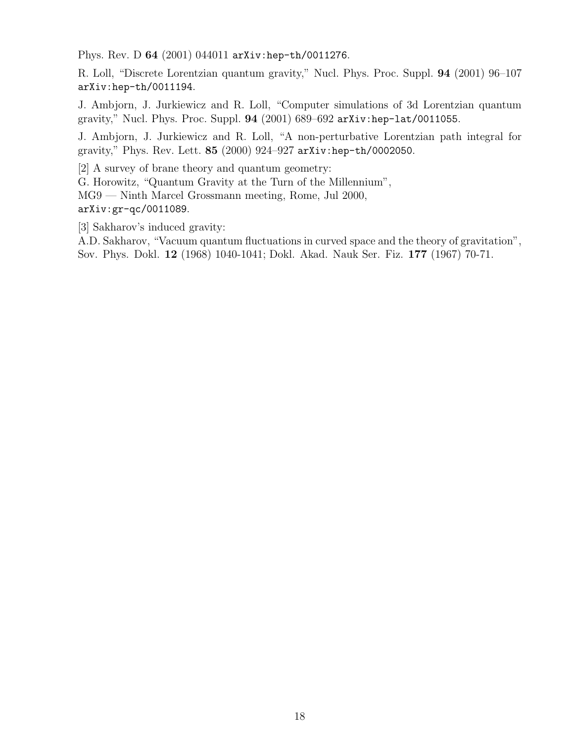Phys. Rev. D 64 (2001) 044011 arXiv:hep-th/0011276.

R. Loll, "Discrete Lorentzian quantum gravity," Nucl. Phys. Proc. Suppl. 94 (2001) 96–107 arXiv:hep-th/0011194.

J. Ambjorn, J. Jurkiewicz and R. Loll, "Computer simulations of 3d Lorentzian quantum gravity," Nucl. Phys. Proc. Suppl. 94 (2001) 689–692 arXiv:hep-lat/0011055.

J. Ambjorn, J. Jurkiewicz and R. Loll, "A non-perturbative Lorentzian path integral for gravity," Phys. Rev. Lett. 85 (2000) 924–927 arXiv:hep-th/0002050.

[2] A survey of brane theory and quantum geometry:

G. Horowitz, "Quantum Gravity at the Turn of the Millennium",

MG9 — Ninth Marcel Grossmann meeting, Rome, Jul 2000,

arXiv:gr-qc/0011089.

[3] Sakharov's induced gravity:

A.D. Sakharov, "Vacuum quantum fluctuations in curved space and the theory of gravitation", Sov. Phys. Dokl. 12 (1968) 1040-1041; Dokl. Akad. Nauk Ser. Fiz. 177 (1967) 70-71.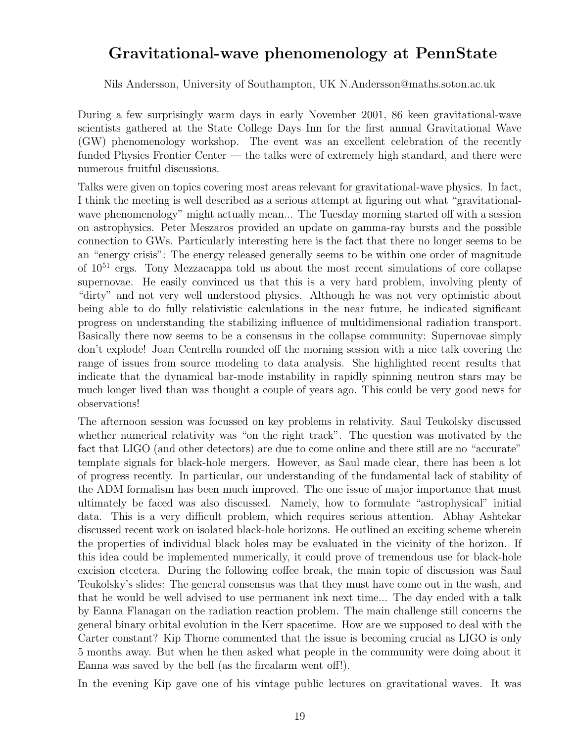#### Gravitational-wave phenomenology at PennState

Nils Andersson, University of Southampton, UK N.Andersson@maths.soton.ac.uk

During a few surprisingly warm days in early November 2001, 86 keen gravitational-wave scientists gathered at the State College Days Inn for the first annual Gravitational Wave (GW) phenomenology workshop. The event was an excellent celebration of the recently funded Physics Frontier Center — the talks were of extremely high standard, and there were numerous fruitful discussions.

Talks were given on topics covering most areas relevant for gravitational-wave physics. In fact, I think the meeting is well described as a serious attempt at figuring out what "gravitationalwave phenomenology" might actually mean... The Tuesday morning started off with a session on astrophysics. Peter Meszaros provided an update on gamma-ray bursts and the possible connection to GWs. Particularly interesting here is the fact that there no longer seems to be an "energy crisis": The energy released generally seems to be within one order of magnitude of  $10^{51}$  ergs. Tony Mezzacappa told us about the most recent simulations of core collapse supernovae. He easily convinced us that this is a very hard problem, involving plenty of "dirty" and not very well understood physics. Although he was not very optimistic about being able to do fully relativistic calculations in the near future, he indicated significant progress on understanding the stabilizing influence of multidimensional radiation transport. Basically there now seems to be a consensus in the collapse community: Supernovae simply don't explode! Joan Centrella rounded off the morning session with a nice talk covering the range of issues from source modeling to data analysis. She highlighted recent results that indicate that the dynamical bar-mode instability in rapidly spinning neutron stars may be much longer lived than was thought a couple of years ago. This could be very good news for observations!

The afternoon session was focussed on key problems in relativity. Saul Teukolsky discussed whether numerical relativity was "on the right track". The question was motivated by the fact that LIGO (and other detectors) are due to come online and there still are no "accurate" template signals for black-hole mergers. However, as Saul made clear, there has been a lot of progress recently. In particular, our understanding of the fundamental lack of stability of the ADM formalism has been much improved. The one issue of major importance that must ultimately be faced was also discussed. Namely, how to formulate "astrophysical" initial data. This is a very difficult problem, which requires serious attention. Abhay Ashtekar discussed recent work on isolated black-hole horizons. He outlined an exciting scheme wherein the properties of individual black holes may be evaluated in the vicinity of the horizon. If this idea could be implemented numerically, it could prove of tremendous use for black-hole excision etcetera. During the following coffee break, the main topic of discussion was Saul Teukolsky's slides: The general consensus was that they must have come out in the wash, and that he would be well advised to use permanent ink next time... The day ended with a talk by Eanna Flanagan on the radiation reaction problem. The main challenge still concerns the general binary orbital evolution in the Kerr spacetime. How are we supposed to deal with the Carter constant? Kip Thorne commented that the issue is becoming crucial as LIGO is only 5 months away. But when he then asked what people in the community were doing about it Eanna was saved by the bell (as the firealarm went off!).

In the evening Kip gave one of his vintage public lectures on gravitational waves. It was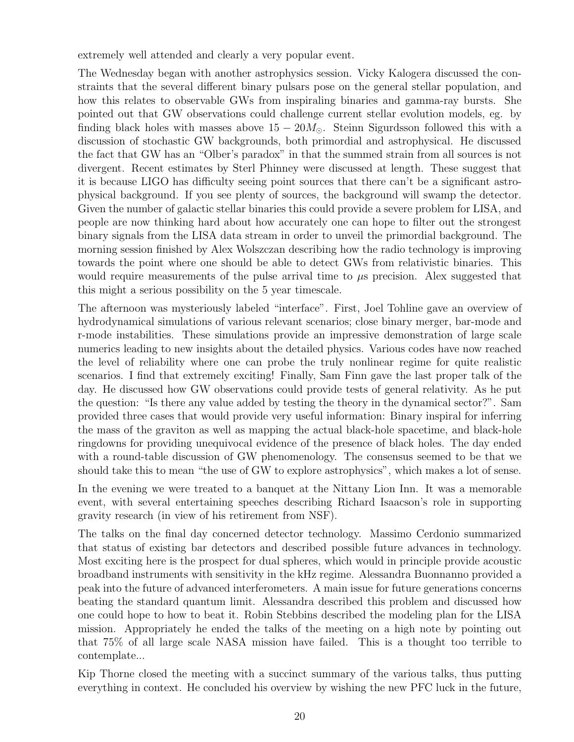extremely well attended and clearly a very popular event.

The Wednesday began with another astrophysics session. Vicky Kalogera discussed the constraints that the several different binary pulsars pose on the general stellar population, and how this relates to observable GWs from inspiraling binaries and gamma-ray bursts. She pointed out that GW observations could challenge current stellar evolution models, eg. by finding black holes with masses above  $15 - 20M_{\odot}$ . Steinn Sigurdsson followed this with a discussion of stochastic GW backgrounds, both primordial and astrophysical. He discussed the fact that GW has an "Olber's paradox" in that the summed strain from all sources is not divergent. Recent estimates by Sterl Phinney were discussed at length. These suggest that it is because LIGO has difficulty seeing point sources that there can't be a significant astrophysical background. If you see plenty of sources, the background will swamp the detector. Given the number of galactic stellar binaries this could provide a severe problem for LISA, and people are now thinking hard about how accurately one can hope to filter out the strongest binary signals from the LISA data stream in order to unveil the primordial background. The morning session finished by Alex Wolszczan describing how the radio technology is improving towards the point where one should be able to detect GWs from relativistic binaries. This would require measurements of the pulse arrival time to  $\mu$ s precision. Alex suggested that this might a serious possibility on the 5 year timescale.

The afternoon was mysteriously labeled "interface". First, Joel Tohline gave an overview of hydrodynamical simulations of various relevant scenarios; close binary merger, bar-mode and r-mode instabilities. These simulations provide an impressive demonstration of large scale numerics leading to new insights about the detailed physics. Various codes have now reached the level of reliability where one can probe the truly nonlinear regime for quite realistic scenarios. I find that extremely exciting! Finally, Sam Finn gave the last proper talk of the day. He discussed how GW observations could provide tests of general relativity. As he put the question: "Is there any value added by testing the theory in the dynamical sector?". Sam provided three cases that would provide very useful information: Binary inspiral for inferring the mass of the graviton as well as mapping the actual black-hole spacetime, and black-hole ringdowns for providing unequivocal evidence of the presence of black holes. The day ended with a round-table discussion of GW phenomenology. The consensus seemed to be that we should take this to mean "the use of GW to explore astrophysics", which makes a lot of sense.

In the evening we were treated to a banquet at the Nittany Lion Inn. It was a memorable event, with several entertaining speeches describing Richard Isaacson's role in supporting gravity research (in view of his retirement from NSF).

The talks on the final day concerned detector technology. Massimo Cerdonio summarized that status of existing bar detectors and described possible future advances in technology. Most exciting here is the prospect for dual spheres, which would in principle provide acoustic broadband instruments with sensitivity in the kHz regime. Alessandra Buonnanno provided a peak into the future of advanced interferometers. A main issue for future generations concerns beating the standard quantum limit. Alessandra described this problem and discussed how one could hope to how to beat it. Robin Stebbins described the modeling plan for the LISA mission. Appropriately he ended the talks of the meeting on a high note by pointing out that 75% of all large scale NASA mission have failed. This is a thought too terrible to contemplate...

Kip Thorne closed the meeting with a succinct summary of the various talks, thus putting everything in context. He concluded his overview by wishing the new PFC luck in the future,